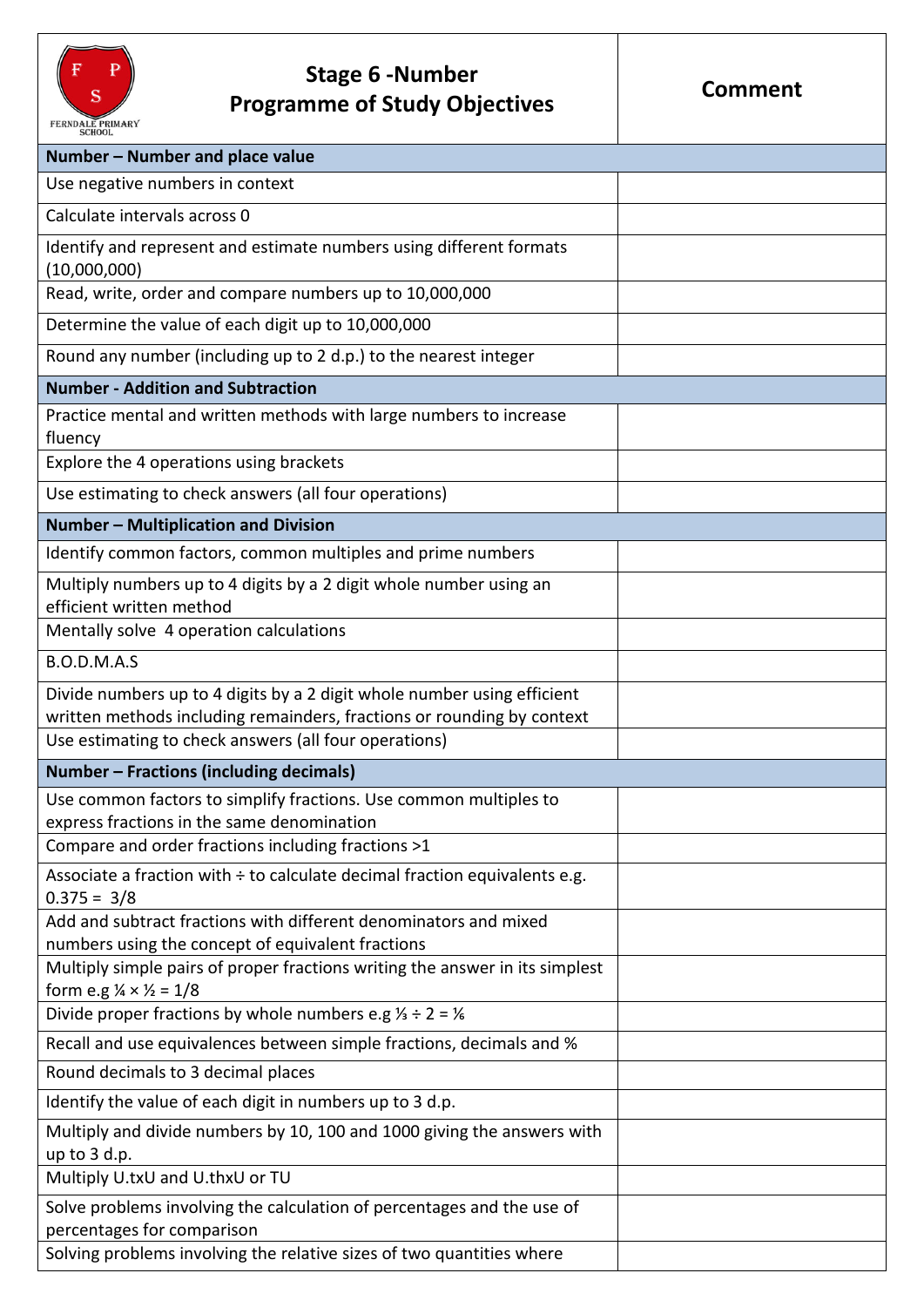

## **Stage 6 -Number Programme of Study Objectives Programme of Study Objectives**

| Number - Number and place value                                                                                                 |  |  |
|---------------------------------------------------------------------------------------------------------------------------------|--|--|
| Use negative numbers in context                                                                                                 |  |  |
| Calculate intervals across 0                                                                                                    |  |  |
| Identify and represent and estimate numbers using different formats<br>(10,000,000)                                             |  |  |
| Read, write, order and compare numbers up to 10,000,000                                                                         |  |  |
| Determine the value of each digit up to 10,000,000                                                                              |  |  |
| Round any number (including up to 2 d.p.) to the nearest integer                                                                |  |  |
| <b>Number - Addition and Subtraction</b>                                                                                        |  |  |
| Practice mental and written methods with large numbers to increase<br>fluency                                                   |  |  |
| Explore the 4 operations using brackets                                                                                         |  |  |
| Use estimating to check answers (all four operations)                                                                           |  |  |
| <b>Number - Multiplication and Division</b>                                                                                     |  |  |
| Identify common factors, common multiples and prime numbers                                                                     |  |  |
| Multiply numbers up to 4 digits by a 2 digit whole number using an<br>efficient written method                                  |  |  |
| Mentally solve 4 operation calculations                                                                                         |  |  |
| <b>B.O.D.M.A.S</b>                                                                                                              |  |  |
| Divide numbers up to 4 digits by a 2 digit whole number using efficient                                                         |  |  |
| written methods including remainders, fractions or rounding by context                                                          |  |  |
| Use estimating to check answers (all four operations)                                                                           |  |  |
| Number - Fractions (including decimals)                                                                                         |  |  |
| Use common factors to simplify fractions. Use common multiples to<br>express fractions in the same denomination                 |  |  |
| Compare and order fractions including fractions >1                                                                              |  |  |
| Associate a fraction with ÷ to calculate decimal fraction equivalents e.g.                                                      |  |  |
| $0.375 = 3/8$<br>Add and subtract fractions with different denominators and mixed                                               |  |  |
| numbers using the concept of equivalent fractions                                                                               |  |  |
| Multiply simple pairs of proper fractions writing the answer in its simplest<br>form e.g $\frac{1}{4} \times \frac{1}{2} = 1/8$ |  |  |
| Divide proper fractions by whole numbers e.g $\frac{1}{3} \div 2 = \frac{1}{6}$                                                 |  |  |
| Recall and use equivalences between simple fractions, decimals and %                                                            |  |  |
| Round decimals to 3 decimal places                                                                                              |  |  |
| Identify the value of each digit in numbers up to 3 d.p.                                                                        |  |  |
| Multiply and divide numbers by 10, 100 and 1000 giving the answers with                                                         |  |  |
| up to 3 d.p.<br>Multiply U.txU and U.thxU or TU                                                                                 |  |  |
| Solve problems involving the calculation of percentages and the use of<br>percentages for comparison                            |  |  |
| Solving problems involving the relative sizes of two quantities where                                                           |  |  |